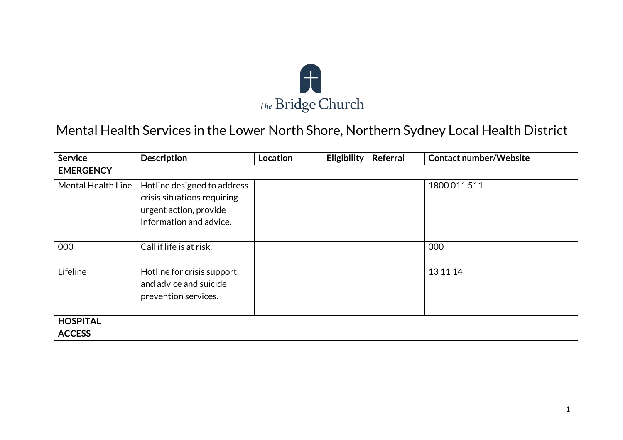

## Mental Health Services in the Lower North Shore, Northern Sydney Local Health District

| <b>Service</b>     | <b>Description</b>                                                                                              | Location | Eligibility | <b>Referral</b> | <b>Contact number/Website</b> |
|--------------------|-----------------------------------------------------------------------------------------------------------------|----------|-------------|-----------------|-------------------------------|
| <b>EMERGENCY</b>   |                                                                                                                 |          |             |                 |                               |
| Mental Health Line | Hotline designed to address<br>crisis situations requiring<br>urgent action, provide<br>information and advice. |          |             |                 | 1800011511                    |
| 000                | Call if life is at risk.                                                                                        |          |             |                 | 000                           |
| Lifeline           | Hotline for crisis support<br>and advice and suicide<br>prevention services.                                    |          |             |                 | 13 11 14                      |
| <b>HOSPITAL</b>    |                                                                                                                 |          |             |                 |                               |
| <b>ACCESS</b>      |                                                                                                                 |          |             |                 |                               |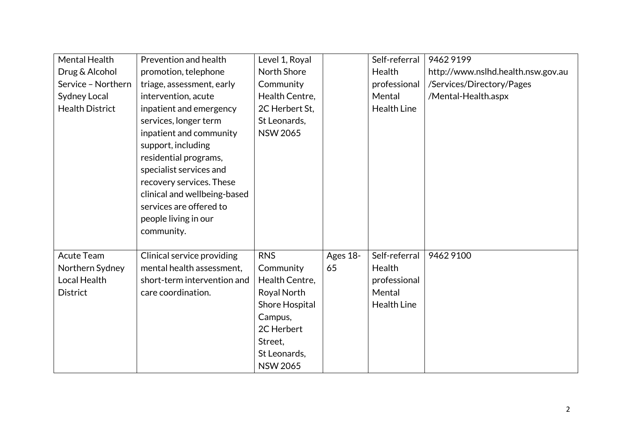| Mental Health          | Prevention and health        | Level 1, Royal  |          | Self-referral      | 94629199                           |
|------------------------|------------------------------|-----------------|----------|--------------------|------------------------------------|
| Drug & Alcohol         | promotion, telephone         | North Shore     |          | Health             | http://www.nslhd.health.nsw.gov.au |
| Service - Northern     | triage, assessment, early    | Community       |          | professional       | /Services/Directory/Pages          |
| Sydney Local           | intervention, acute          | Health Centre,  |          | Mental             | /Mental-Health.aspx                |
| <b>Health District</b> | inpatient and emergency      | 2C Herbert St,  |          | <b>Health Line</b> |                                    |
|                        | services, longer term        | St Leonards,    |          |                    |                                    |
|                        | inpatient and community      | <b>NSW 2065</b> |          |                    |                                    |
|                        | support, including           |                 |          |                    |                                    |
|                        | residential programs,        |                 |          |                    |                                    |
|                        | specialist services and      |                 |          |                    |                                    |
|                        | recovery services. These     |                 |          |                    |                                    |
|                        | clinical and wellbeing-based |                 |          |                    |                                    |
|                        | services are offered to      |                 |          |                    |                                    |
|                        | people living in our         |                 |          |                    |                                    |
|                        | community.                   |                 |          |                    |                                    |
|                        |                              |                 |          |                    |                                    |
| <b>Acute Team</b>      | Clinical service providing   | <b>RNS</b>      | Ages 18- | Self-referral      | 9462 9100                          |
| Northern Sydney        | mental health assessment,    | Community       | 65       | Health             |                                    |
| <b>Local Health</b>    | short-term intervention and  | Health Centre.  |          | professional       |                                    |
| <b>District</b>        | care coordination.           | Royal North     |          | Mental             |                                    |
|                        |                              | Shore Hospital  |          | <b>Health Line</b> |                                    |
|                        |                              | Campus,         |          |                    |                                    |
|                        |                              | 2C Herbert      |          |                    |                                    |
|                        |                              | Street,         |          |                    |                                    |
|                        |                              | St Leonards,    |          |                    |                                    |
|                        |                              | <b>NSW 2065</b> |          |                    |                                    |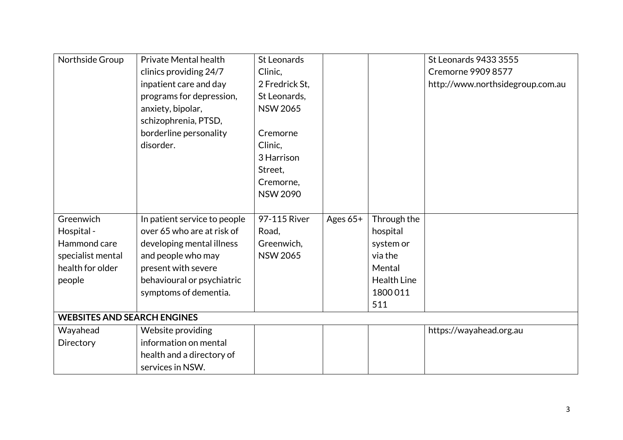| Northside Group                    | <b>Private Mental health</b><br>clinics providing 24/7<br>inpatient care and day<br>programs for depression,<br>anxiety, bipolar,<br>schizophrenia, PTSD,<br>borderline personality<br>disorder. | St Leonards<br>Clinic,<br>2 Fredrick St,<br>St Leonards,<br><b>NSW 2065</b><br>Cremorne<br>Clinic, |          |                    | St Leonards 9433 3555<br><b>Cremorne 9909 8577</b><br>http://www.northsidegroup.com.au |
|------------------------------------|--------------------------------------------------------------------------------------------------------------------------------------------------------------------------------------------------|----------------------------------------------------------------------------------------------------|----------|--------------------|----------------------------------------------------------------------------------------|
|                                    |                                                                                                                                                                                                  | 3 Harrison<br>Street,                                                                              |          |                    |                                                                                        |
|                                    |                                                                                                                                                                                                  | Cremorne,                                                                                          |          |                    |                                                                                        |
|                                    |                                                                                                                                                                                                  | <b>NSW 2090</b>                                                                                    |          |                    |                                                                                        |
| Greenwich                          | In patient service to people                                                                                                                                                                     | 97-115 River                                                                                       | Ages 65+ | Through the        |                                                                                        |
| Hospital -                         | over 65 who are at risk of                                                                                                                                                                       | Road,                                                                                              |          | hospital           |                                                                                        |
| Hammond care                       | developing mental illness                                                                                                                                                                        | Greenwich,                                                                                         |          | system or          |                                                                                        |
| specialist mental                  | and people who may                                                                                                                                                                               | <b>NSW 2065</b>                                                                                    |          | via the            |                                                                                        |
| health for older                   | present with severe                                                                                                                                                                              |                                                                                                    |          | Mental             |                                                                                        |
| people                             | behavioural or psychiatric                                                                                                                                                                       |                                                                                                    |          | <b>Health Line</b> |                                                                                        |
|                                    | symptoms of dementia.                                                                                                                                                                            |                                                                                                    |          | 1800011            |                                                                                        |
|                                    |                                                                                                                                                                                                  |                                                                                                    |          | 511                |                                                                                        |
| <b>WEBSITES AND SEARCH ENGINES</b> |                                                                                                                                                                                                  |                                                                                                    |          |                    |                                                                                        |
| Wayahead                           | Website providing                                                                                                                                                                                |                                                                                                    |          |                    | https://wayahead.org.au                                                                |
| Directory                          | information on mental                                                                                                                                                                            |                                                                                                    |          |                    |                                                                                        |
|                                    | health and a directory of                                                                                                                                                                        |                                                                                                    |          |                    |                                                                                        |
|                                    | services in NSW.                                                                                                                                                                                 |                                                                                                    |          |                    |                                                                                        |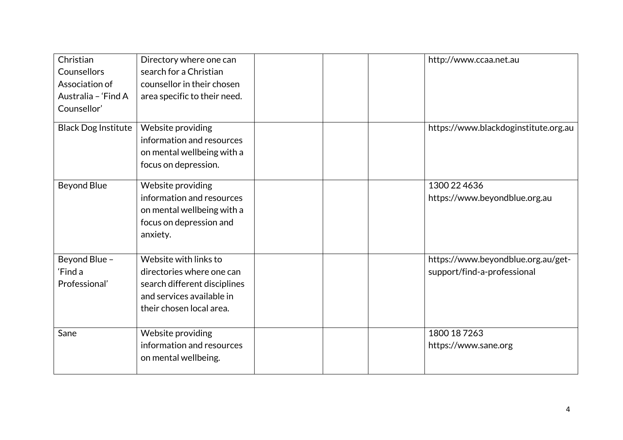| Christian<br>Counsellors<br>Association of<br>Australia - 'Find A<br>Counsellor' | Directory where one can<br>search for a Christian<br>counsellor in their chosen<br>area specific to their need.                             | http://www.ccaa.net.au                                            |
|----------------------------------------------------------------------------------|---------------------------------------------------------------------------------------------------------------------------------------------|-------------------------------------------------------------------|
| Black Dog Institute                                                              | Website providing<br>information and resources<br>on mental wellbeing with a<br>focus on depression.                                        | https://www.blackdoginstitute.org.au                              |
| <b>Beyond Blue</b>                                                               | Website providing<br>information and resources<br>on mental wellbeing with a<br>focus on depression and<br>anxiety.                         | 1300 22 4636<br>https://www.beyondblue.org.au                     |
| Beyond Blue -<br>'Find a<br>Professional'                                        | Website with links to<br>directories where one can<br>search different disciplines<br>and services available in<br>their chosen local area. | https://www.beyondblue.org.au/get-<br>support/find-a-professional |
| Sane                                                                             | Website providing<br>information and resources<br>on mental wellbeing.                                                                      | 1800 18 7263<br>https://www.sane.org                              |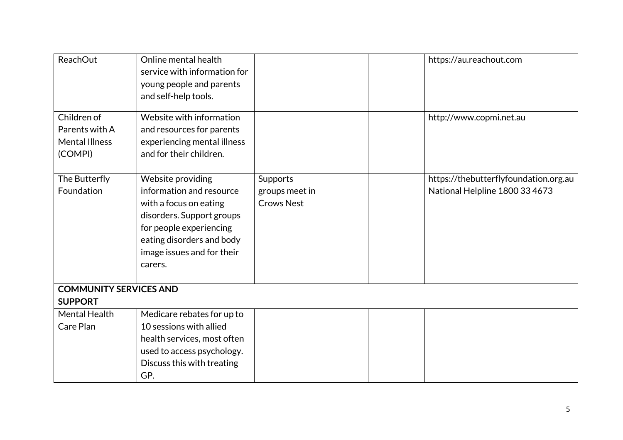| <b>ReachOut</b>                                                   | Online mental health<br>service with information for<br>young people and parents<br>and self-help tools.                                                                                              |                                                 | https://au.reachout.com                                                 |
|-------------------------------------------------------------------|-------------------------------------------------------------------------------------------------------------------------------------------------------------------------------------------------------|-------------------------------------------------|-------------------------------------------------------------------------|
| Children of<br>Parents with A<br><b>Mental Illness</b><br>(COMPI) | Website with information<br>and resources for parents<br>experiencing mental illness<br>and for their children.                                                                                       |                                                 | http://www.copmi.net.au                                                 |
| The Butterfly<br>Foundation                                       | Website providing<br>information and resource<br>with a focus on eating<br>disorders. Support groups<br>for people experiencing<br>eating disorders and body<br>image issues and for their<br>carers. | Supports<br>groups meet in<br><b>Crows Nest</b> | https://thebutterflyfoundation.org.au<br>National Helpline 1800 33 4673 |
| <b>COMMUNITY SERVICES AND</b><br><b>SUPPORT</b>                   |                                                                                                                                                                                                       |                                                 |                                                                         |
| <b>Mental Health</b><br>Care Plan                                 | Medicare rebates for up to<br>10 sessions with allied<br>health services, most often<br>used to access psychology.<br>Discuss this with treating<br>GP.                                               |                                                 |                                                                         |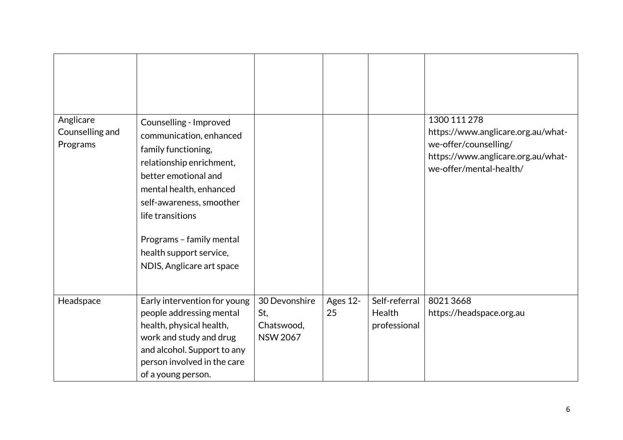| Anglicare<br>Counselling and<br>Programs | Counselling - Improved<br>communication, enhanced<br>family functioning,<br>relationship enrichment,<br>better emotional and<br>mental health, enhanced<br>self-awareness, smoother<br>life transitions<br>Programs - family mental<br>health support service,<br>NDIS, Anglicare art space |                                                       |                |                                         | 1300 111 278<br>https://www.anglicare.org.au/what-<br>we-offer/counselling/<br>https://www.anglicare.org.au/what-<br>we-offer/mental-health/ |
|------------------------------------------|---------------------------------------------------------------------------------------------------------------------------------------------------------------------------------------------------------------------------------------------------------------------------------------------|-------------------------------------------------------|----------------|-----------------------------------------|----------------------------------------------------------------------------------------------------------------------------------------------|
| Headspace                                | Early intervention for young<br>people addressing mental<br>health, physical health,<br>work and study and drug<br>and alcohol. Support to any<br>person involved in the care<br>of a young person.                                                                                         | 30 Devonshire<br>St,<br>Chatswood,<br><b>NSW 2067</b> | Ages 12-<br>25 | Self-referral<br>Health<br>professional | 80213668<br>https://headspace.org.au                                                                                                         |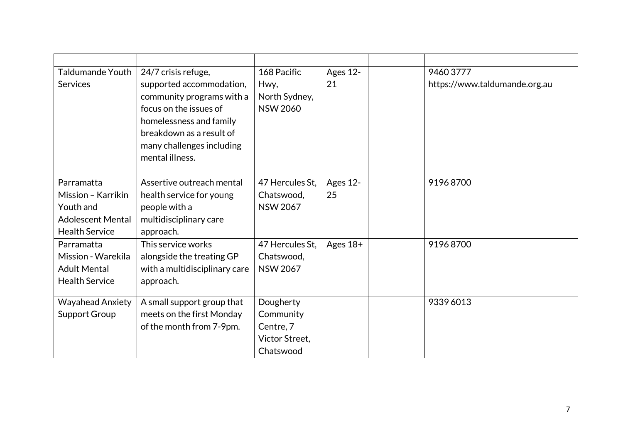| Taldumande Youth         | 24/7 crisis refuge,           | 168 Pacific     | Ages 12- | 94603777                      |
|--------------------------|-------------------------------|-----------------|----------|-------------------------------|
| <b>Services</b>          | supported accommodation,      | Hwy,            | 21       | https://www.taldumande.org.au |
|                          | community programs with a     | North Sydney,   |          |                               |
|                          | focus on the issues of        | <b>NSW 2060</b> |          |                               |
|                          | homelessness and family       |                 |          |                               |
|                          | breakdown as a result of      |                 |          |                               |
|                          | many challenges including     |                 |          |                               |
|                          | mental illness.               |                 |          |                               |
|                          |                               |                 |          |                               |
| Parramatta               | Assertive outreach mental     | 47 Hercules St, | Ages 12- | 91968700                      |
| Mission - Karrikin       | health service for young      | Chatswood,      | 25       |                               |
| Youth and                | people with a                 | <b>NSW 2067</b> |          |                               |
| <b>Adolescent Mental</b> | multidisciplinary care        |                 |          |                               |
| <b>Health Service</b>    | approach.                     |                 |          |                               |
| Parramatta               | This service works            | 47 Hercules St, | Ages 18+ | 91968700                      |
| Mission - Warekila       | alongside the treating GP     | Chatswood,      |          |                               |
| <b>Adult Mental</b>      | with a multidisciplinary care | <b>NSW 2067</b> |          |                               |
| <b>Health Service</b>    | approach.                     |                 |          |                               |
|                          |                               |                 |          |                               |
| <b>Wayahead Anxiety</b>  | A small support group that    | Dougherty       |          | 9339 6013                     |
| Support Group            | meets on the first Monday     | Community       |          |                               |
|                          | of the month from 7-9pm.      | Centre, 7       |          |                               |
|                          |                               | Victor Street.  |          |                               |
|                          |                               | Chatswood       |          |                               |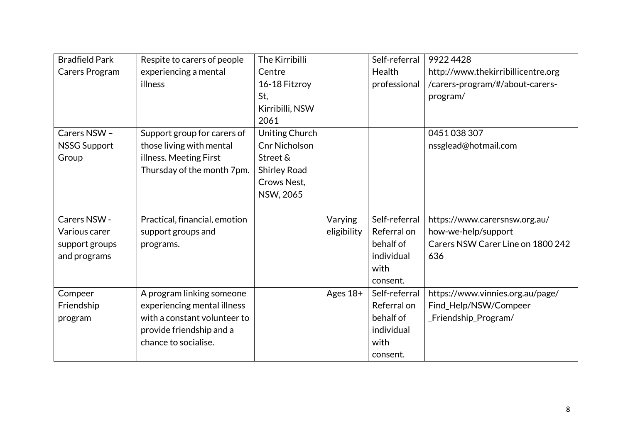| <b>Bradfield Park</b> | Respite to carers of people   | The Kirribilli       |             | Self-referral | 99224428                           |
|-----------------------|-------------------------------|----------------------|-------------|---------------|------------------------------------|
| Carers Program        | experiencing a mental         | Centre               |             | Health        | http://www.thekirribillicentre.org |
|                       | illness                       | 16-18 Fitzroy        |             | professional  | /carers-program/#/about-carers-    |
|                       |                               | St,                  |             |               | program/                           |
|                       |                               | Kirribilli, NSW      |             |               |                                    |
|                       |                               | 2061                 |             |               |                                    |
| Carers NSW -          | Support group for carers of   | Uniting Church       |             |               | 0451038307                         |
| <b>NSSG Support</b>   | those living with mental      | <b>Cnr Nicholson</b> |             |               | nssglead@hotmail.com               |
| Group                 | illness. Meeting First        | Street &             |             |               |                                    |
|                       | Thursday of the month 7pm.    | <b>Shirley Road</b>  |             |               |                                    |
|                       |                               | Crows Nest,          |             |               |                                    |
|                       |                               | NSW, 2065            |             |               |                                    |
|                       |                               |                      |             |               |                                    |
| Carers NSW -          | Practical, financial, emotion |                      | Varying     | Self-referral | https://www.carersnsw.org.au/      |
| Various carer         | support groups and            |                      | eligibility | Referral on   | how-we-help/support                |
| support groups        | programs.                     |                      |             | behalf of     | Carers NSW Carer Line on 1800 242  |
| and programs          |                               |                      |             | individual    | 636                                |
|                       |                               |                      |             | with          |                                    |
|                       |                               |                      |             | consent.      |                                    |
| Compeer               | A program linking someone     |                      | Ages 18+    | Self-referral | https://www.vinnies.org.au/page/   |
| Friendship            | experiencing mental illness   |                      |             | Referral on   | Find_Help/NSW/Compeer              |
| program               | with a constant volunteer to  |                      |             | behalf of     | _Friendship_Program/               |
|                       | provide friendship and a      |                      |             | individual    |                                    |
|                       | chance to socialise.          |                      |             | with          |                                    |
|                       |                               |                      |             | consent.      |                                    |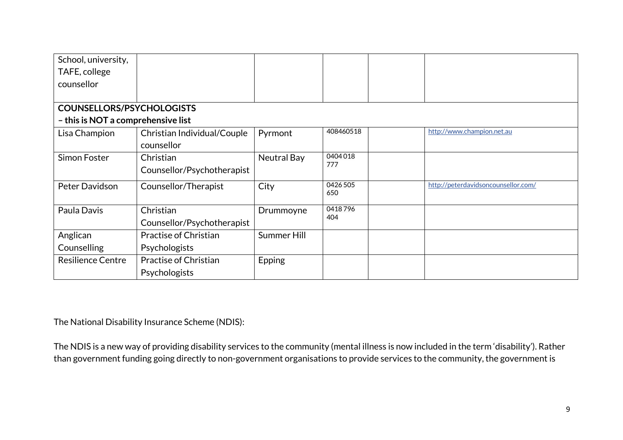| School, university,                |                              |             |                 |                                     |
|------------------------------------|------------------------------|-------------|-----------------|-------------------------------------|
| TAFE, college                      |                              |             |                 |                                     |
| counsellor                         |                              |             |                 |                                     |
|                                    |                              |             |                 |                                     |
| <b>COUNSELLORS/PSYCHOLOGISTS</b>   |                              |             |                 |                                     |
| - this is NOT a comprehensive list |                              |             |                 |                                     |
| Lisa Champion                      | Christian Individual/Couple  | Pyrmont     | 408460518       | http://www.champion.net.au          |
|                                    | counsellor                   |             |                 |                                     |
| Simon Foster                       | Christian                    | Neutral Bay | 0404018<br>777  |                                     |
|                                    | Counsellor/Psychotherapist   |             |                 |                                     |
| Peter Davidson                     | Counsellor/Therapist         | City        | 0426 505<br>650 | http://peterdavidsoncounsellor.com/ |
|                                    |                              |             |                 |                                     |
| Paula Davis                        | Christian                    | Drummoyne   | 0418796<br>404  |                                     |
|                                    | Counsellor/Psychotherapist   |             |                 |                                     |
| Anglican                           | Practise of Christian        | Summer Hill |                 |                                     |
| Counselling                        | <b>Psychologists</b>         |             |                 |                                     |
| <b>Resilience Centre</b>           | <b>Practise of Christian</b> | Epping      |                 |                                     |
|                                    | Psychologists                |             |                 |                                     |

The National Disability Insurance Scheme (NDIS):

The NDIS is a new way of providing disability services to the community (mental illness is now included in the term 'disability'). Rather than government funding going directly to non-government organisations to provide services to the community, the government is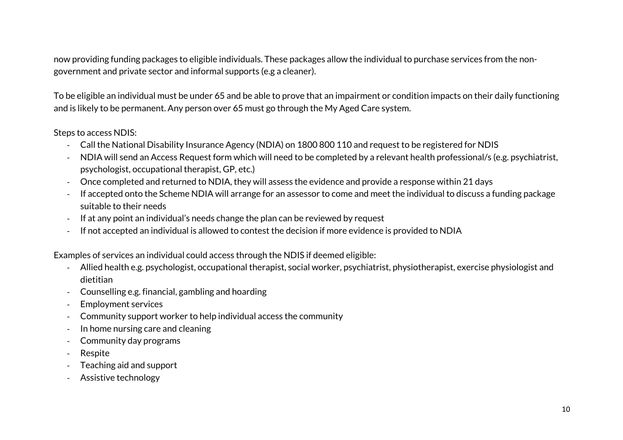now providing funding packages to eligible individuals. These packages allow the individual to purchase services from the nongovernment and private sector and informal supports (e.g a cleaner).

To be eligible an individual must be under 65 and be able to prove that an impairment or condition impacts on their daily functioning and is likely to be permanent. Any person over 65 must go through the My Aged Care system.

## Steps to access NDIS:

- Call the National Disability Insurance Agency (NDIA) on 1800 800 110 and request to be registered for NDIS
- NDIA will send an Access Request form which will need to be completed by a relevant health professional/s (e.g. psychiatrist, psychologist, occupational therapist, GP, etc.)
- Once completed and returned to NDIA, they will assess the evidence and provide a response within 21 days
- If accepted onto the Scheme NDIA will arrange for an assessor to come and meet the individual to discuss a funding package suitable to their needs
- If at any point an individual's needs change the plan can be reviewed by request
- If not accepted an individual is allowed to contest the decision if more evidence is provided to NDIA

Examples of services an individual could access through the NDIS if deemed eligible:

- Allied health e.g. psychologist, occupational therapist, social worker, psychiatrist, physiotherapist, exercise physiologist and dietitian
- Counselling e.g. financial, gambling and hoarding
- Employment services
- Community support worker to help individual access the community
- In home nursing care and cleaning
- Community day programs
- **Respite**
- Teaching aid and support
- Assistive technology